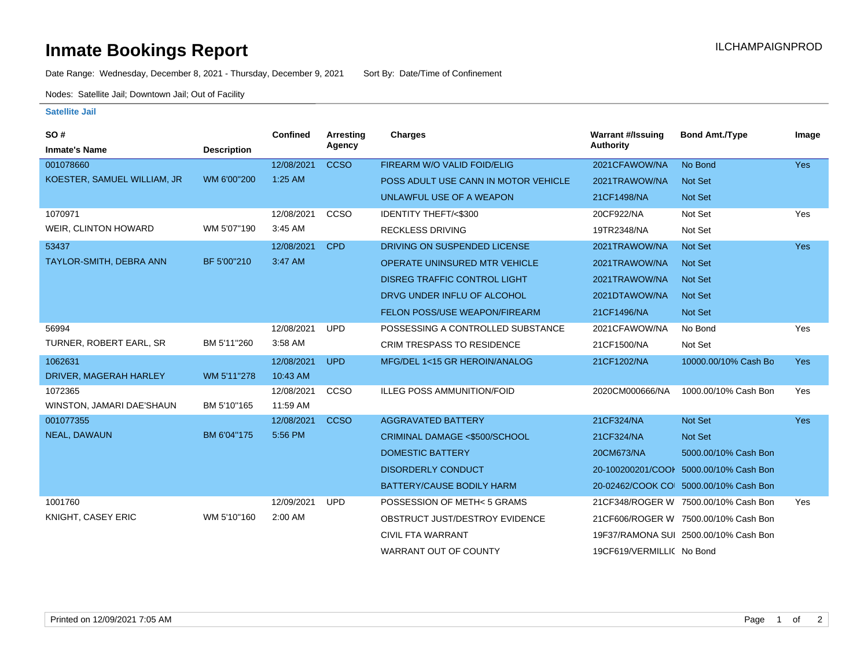## **Inmate Bookings Report International Contract Contract Contract Contract Contract Contract Contract Contract Contract Contract Contract Contract Contract Contract Contract Contract Contract Contract Contract Contract Co**

Date Range: Wednesday, December 8, 2021 - Thursday, December 9, 2021 Sort By: Date/Time of Confinement

Nodes: Satellite Jail; Downtown Jail; Out of Facility

## **Satellite Jail**

| SO#                         |                    | <b>Confined</b> | <b>Arresting</b> | Charges                              | <b>Warrant #/Issuing</b>  | <b>Bond Amt./Type</b>                  | Image      |
|-----------------------------|--------------------|-----------------|------------------|--------------------------------------|---------------------------|----------------------------------------|------------|
| <b>Inmate's Name</b>        | <b>Description</b> |                 | Agency           |                                      | <b>Authority</b>          |                                        |            |
| 001078660                   |                    | 12/08/2021      | <b>CCSO</b>      | FIREARM W/O VALID FOID/ELIG          | 2021CFAWOW/NA             | No Bond                                | Yes        |
| KOESTER, SAMUEL WILLIAM, JR | WM 6'00"200        | $1:25$ AM       |                  | POSS ADULT USE CANN IN MOTOR VEHICLE | 2021TRAWOW/NA             | <b>Not Set</b>                         |            |
|                             |                    |                 |                  | UNLAWFUL USE OF A WEAPON             | 21CF1498/NA               | Not Set                                |            |
| 1070971                     |                    | 12/08/2021      | <b>CCSO</b>      | IDENTITY THEFT/<\$300                | 20CF922/NA                | Not Set                                | Yes        |
| WEIR, CLINTON HOWARD        | WM 5'07"190        | 3:45 AM         |                  | <b>RECKLESS DRIVING</b>              | 19TR2348/NA               | Not Set                                |            |
| 53437                       |                    | 12/08/2021      | <b>CPD</b>       | DRIVING ON SUSPENDED LICENSE         | 2021TRAWOW/NA             | <b>Not Set</b>                         | <b>Yes</b> |
| TAYLOR-SMITH, DEBRA ANN     | BF 5'00"210        | 3:47 AM         |                  | OPERATE UNINSURED MTR VEHICLE        | 2021TRAWOW/NA             | <b>Not Set</b>                         |            |
|                             |                    |                 |                  | <b>DISREG TRAFFIC CONTROL LIGHT</b>  | 2021TRAWOW/NA             | <b>Not Set</b>                         |            |
|                             |                    |                 |                  | DRVG UNDER INFLU OF ALCOHOL          | 2021DTAWOW/NA             | <b>Not Set</b>                         |            |
|                             |                    |                 |                  | <b>FELON POSS/USE WEAPON/FIREARM</b> | 21CF1496/NA               | Not Set                                |            |
| 56994                       |                    | 12/08/2021      | <b>UPD</b>       | POSSESSING A CONTROLLED SUBSTANCE    | 2021CFAWOW/NA             | No Bond                                | Yes        |
| TURNER, ROBERT EARL, SR     | BM 5'11"260        | 3:58 AM         |                  | <b>CRIM TRESPASS TO RESIDENCE</b>    | 21CF1500/NA               | Not Set                                |            |
| 1062631                     |                    | 12/08/2021      | <b>UPD</b>       | MFG/DEL 1<15 GR HEROIN/ANALOG        | 21CF1202/NA               | 10000.00/10% Cash Bo                   | <b>Yes</b> |
| DRIVER, MAGERAH HARLEY      | WM 5'11"278        | 10:43 AM        |                  |                                      |                           |                                        |            |
| 1072365                     |                    | 12/08/2021      | <b>CCSO</b>      | <b>ILLEG POSS AMMUNITION/FOID</b>    | 2020CM000666/NA           | 1000.00/10% Cash Bon                   | Yes        |
| WINSTON, JAMARI DAE'SHAUN   | BM 5'10"165        | 11:59 AM        |                  |                                      |                           |                                        |            |
| 001077355                   |                    | 12/08/2021      | <b>CCSO</b>      | <b>AGGRAVATED BATTERY</b>            | 21CF324/NA                | Not Set                                | Yes        |
| NEAL, DAWAUN                | BM 6'04"175        | 5:56 PM         |                  | CRIMINAL DAMAGE <\$500/SCHOOL        | 21CF324/NA                | Not Set                                |            |
|                             |                    |                 |                  | <b>DOMESTIC BATTERY</b>              | 20CM673/NA                | 5000.00/10% Cash Bon                   |            |
|                             |                    |                 |                  | <b>DISORDERLY CONDUCT</b>            | 20-100200201/COOI         | 5000.00/10% Cash Bon                   |            |
|                             |                    |                 |                  | BATTERY/CAUSE BODILY HARM            |                           | 20-02462/COOK COI 5000.00/10% Cash Bon |            |
| 1001760                     |                    | 12/09/2021      | <b>UPD</b>       | POSSESSION OF METH<5 GRAMS           |                           | 21CF348/ROGER W 7500.00/10% Cash Bon   | Yes        |
| KNIGHT, CASEY ERIC          | WM 5'10"160        | 2:00 AM         |                  | OBSTRUCT JUST/DESTROY EVIDENCE       |                           | 21CF606/ROGER W 7500.00/10% Cash Bon   |            |
|                             |                    |                 |                  | <b>CIVIL FTA WARRANT</b>             |                           | 19F37/RAMONA SUI 2500.00/10% Cash Bon  |            |
|                             |                    |                 |                  | WARRANT OUT OF COUNTY                | 19CF619/VERMILLIC No Bond |                                        |            |